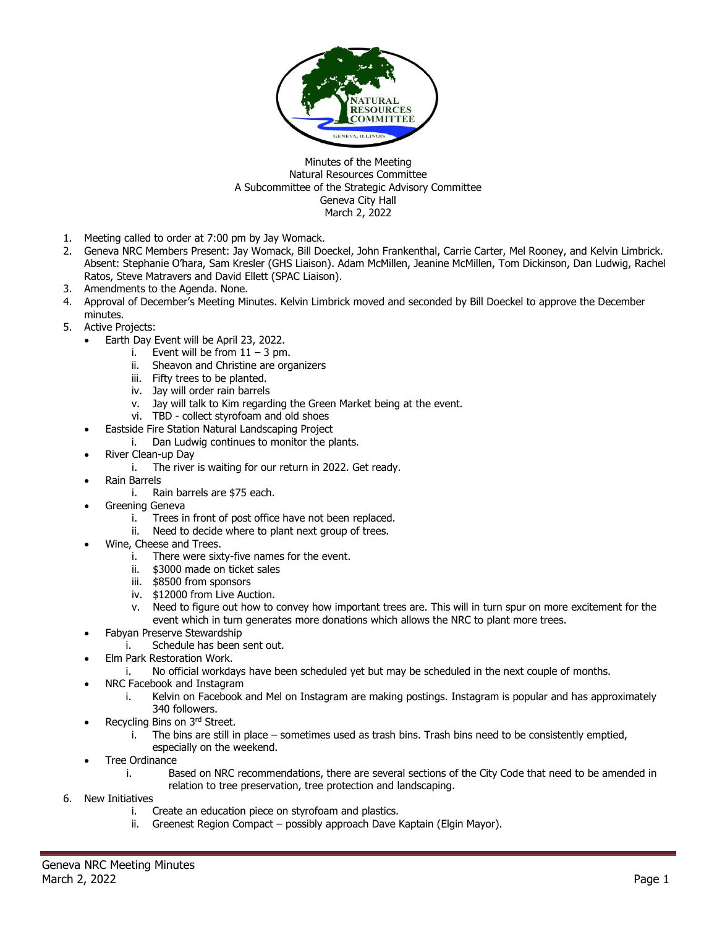

## Minutes of the Meeting Natural Resources Committee A Subcommittee of the Strategic Advisory Committee Geneva City Hall March 2, 2022

- 1. Meeting called to order at 7:00 pm by Jay Womack.
- 2. Geneva NRC Members Present: Jay Womack, Bill Doeckel, John Frankenthal, Carrie Carter, Mel Rooney, and Kelvin Limbrick. Absent: Stephanie O'hara, Sam Kresler (GHS Liaison). Adam McMillen, Jeanine McMillen, Tom Dickinson, Dan Ludwig, Rachel Ratos, Steve Matravers and David Ellett (SPAC Liaison).
- 3. Amendments to the Agenda. None.
- 4. Approval of December's Meeting Minutes. Kelvin Limbrick moved and seconded by Bill Doeckel to approve the December minutes.
- 5. Active Projects:
	- Earth Day Event will be April 23, 2022.
		- i. Event will be from  $11 3$  pm.
		- Sheavon and Christine are organizers
		- iii. Fifty trees to be planted.
		- iv. Jay will order rain barrels
		- v. Jay will talk to Kim regarding the Green Market being at the event.
		- vi. TBD collect styrofoam and old shoes
	- Eastside Fire Station Natural Landscaping Project
		- i. Dan Ludwig continues to monitor the plants.
	- River Clean-up Day
		- i. The river is waiting for our return in 2022. Get ready.
	- Rain Barrels
		- i. Rain barrels are \$75 each.
	- Greening Geneva
		- i. Trees in front of post office have not been replaced.
		- ii. Need to decide where to plant next group of trees.
	- Wine, Cheese and Trees.
		- i. There were sixty-five names for the event.
		- ii. \$3000 made on ticket sales
		- iii. \$8500 from sponsors
		- iv. \$12000 from Live Auction.
		- v. Need to figure out how to convey how important trees are. This will in turn spur on more excitement for the event which in turn generates more donations which allows the NRC to plant more trees.
	- Fabyan Preserve Stewardship
		- i. Schedule has been sent out.
	- Elm Park Restoration Work.
		- i. No official workdays have been scheduled yet but may be scheduled in the next couple of months.
	- NRC Facebook and Instagram
		- i. Kelvin on Facebook and Mel on Instagram are making postings. Instagram is popular and has approximately 340 followers.
	- Recycling Bins on 3rd Street.
		- i. The bins are still in place sometimes used as trash bins. Trash bins need to be consistently emptied, especially on the weekend.
	- Tree Ordinance
		- i. Based on NRC recommendations, there are several sections of the City Code that need to be amended in relation to tree preservation, tree protection and landscaping.
- 6. New Initiatives
	- i. Create an education piece on styrofoam and plastics.
	- ii. Greenest Region Compact possibly approach Dave Kaptain (Elgin Mayor).